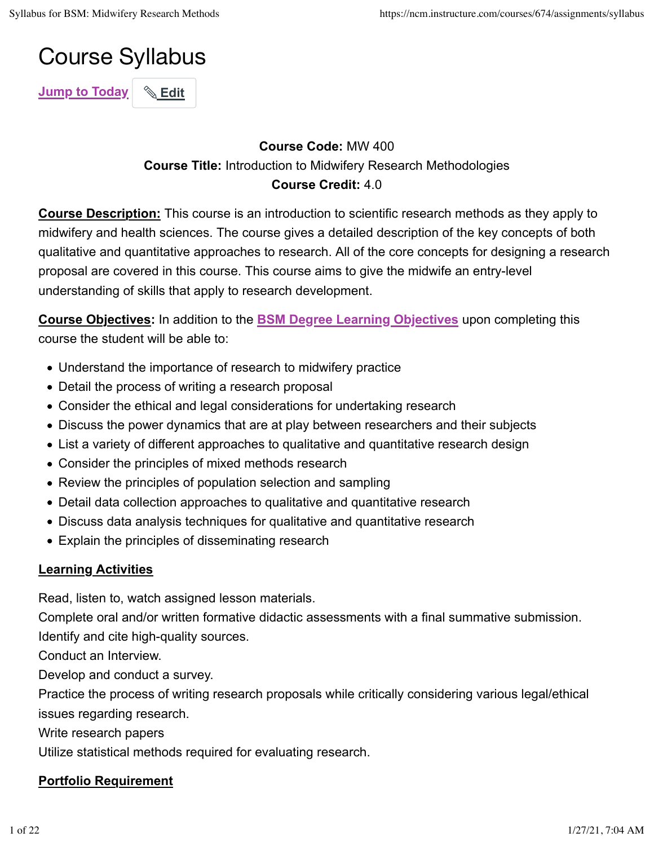# Course Syllabus

**Jump to Today** | **& Edit** 

### **Course Code:** MW 400 **Course Title:** Introduction to Midwifery Research Methodologies **Course Credit:** 4.0

**Course Description:** This course is an introduction to scientific research methods as they apply to midwifery and health sciences. The course gives a detailed description of the key concepts of both qualitative and quantitative approaches to research. All of the core concepts for designing a research proposal are covered in this course. This course aims to give the midwife an entry-level understanding of skills that apply to research development.

**Course Objectives:** In addition to the **BSM Degree Learning Objectives** upon completing this course the student will be able to:

- Understand the importance of research to midwifery practice
- Detail the process of writing a research proposal
- Consider the ethical and legal considerations for undertaking research
- Discuss the power dynamics that are at play between researchers and their subjects
- List a variety of different approaches to qualitative and quantitative research design
- Consider the principles of mixed methods research
- Review the principles of population selection and sampling
- Detail data collection approaches to qualitative and quantitative research
- Discuss data analysis techniques for qualitative and quantitative research
- Explain the principles of disseminating research

# **Learning Activities**

Read, listen to, watch assigned lesson materials.

Complete oral and/or written formative didactic assessments with a final summative submission. Identify and cite high-quality sources.

Conduct an Interview.

Develop and conduct a survey.

Practice the process of writing research proposals while critically considering various legal/ethical issues regarding research.

Write research papers

Utilize statistical methods required for evaluating research.

# **Portfolio Requirement**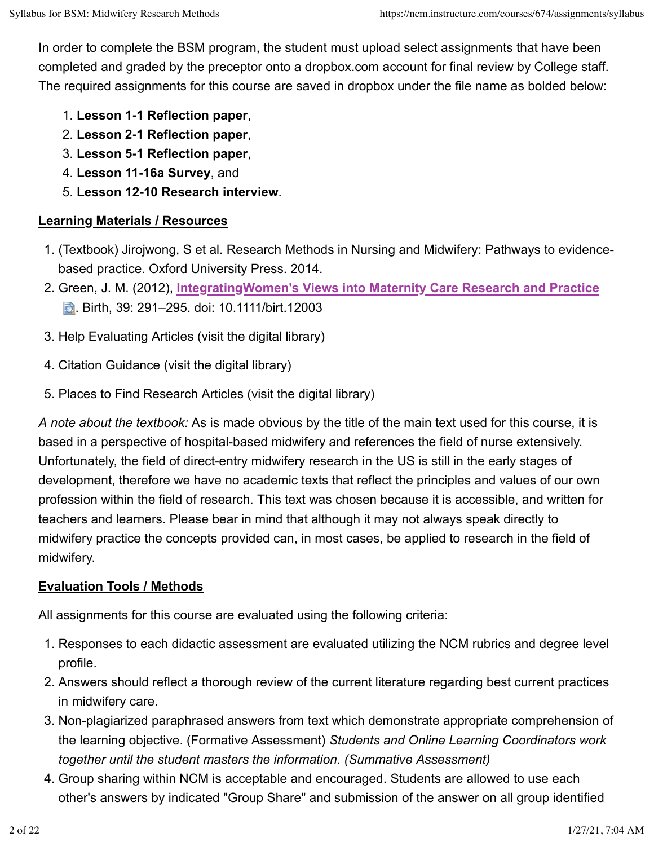In order to complete the BSM program, the student must upload select assignments that have been completed and graded by the preceptor onto a dropbox.com account for final review by College staff. The required assignments for this course are saved in dropbox under the file name as bolded below:

- 1. **Lesson 1-1 Reflection paper**,
- 2. **Lesson 2-1 Reflection paper**,
- 3. **Lesson 5-1 Reflection paper**,
- 4. **Lesson 11-16a Survey**, and
- 5. **Lesson 12-10 Research interview**.

#### **Learning Materials / Resources**

- 1. (Textbook) Jirojwong, S et al. Research Methods in Nursing and Midwifery: Pathways to evidencebased practice. Oxford University Press. 2014.
- 2. Green, J. M. (2012), **IntegratingWomen's Views into Maternity Care Research and Practice b.** Birth, 39: 291–295. doi: 10.1111/birt.12003
- 3. Help Evaluating Articles (visit the digital library)
- 4. Citation Guidance (visit the digital library)
- 5. Places to Find Research Articles (visit the digital library)

*A note about the textbook:* As is made obvious by the title of the main text used for this course, it is based in a perspective of hospital-based midwifery and references the field of nurse extensively. Unfortunately, the field of direct-entry midwifery research in the US is still in the early stages of development, therefore we have no academic texts that reflect the principles and values of our own profession within the field of research. This text was chosen because it is accessible, and written for teachers and learners. Please bear in mind that although it may not always speak directly to midwifery practice the concepts provided can, in most cases, be applied to research in the field of midwifery.

#### **Evaluation Tools / Methods**

All assignments for this course are evaluated using the following criteria:

- 1. Responses to each didactic assessment are evaluated utilizing the NCM rubrics and degree level profile.
- 2. Answers should reflect a thorough review of the current literature regarding best current practices in midwifery care.
- 3. Non-plagiarized paraphrased answers from text which demonstrate appropriate comprehension of the learning objective. (Formative Assessment) *Students and Online Learning Coordinators work together until the student masters the information. (Summative Assessment)*
- 4. Group sharing within NCM is acceptable and encouraged. Students are allowed to use each other's answers by indicated "Group Share" and submission of the answer on all group identified